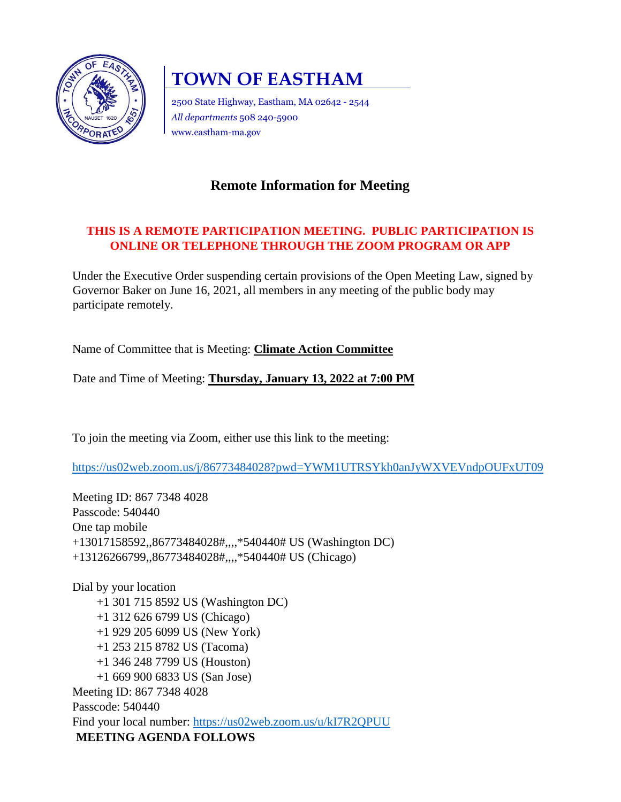

# **TOWN OF EASTHAM**

2500 State Highway, Eastham, MA 02642 - 2544 *All departments* 508 240-5900 www.eastham-ma.gov

# **Remote Information for Meeting**

## **THIS IS A REMOTE PARTICIPATION MEETING. PUBLIC PARTICIPATION IS ONLINE OR TELEPHONE THROUGH THE ZOOM PROGRAM OR APP**

Under the Executive Order suspending certain provisions of the Open Meeting Law, signed by Governor Baker on June 16, 2021, all members in any meeting of the public body may participate remotely.

Name of Committee that is Meeting: **Climate Action Committee** 

Date and Time of Meeting: **Thursday, January 13, 2022 at 7:00 PM**

To join the meeting via Zoom, either use this link to the meeting:

<https://us02web.zoom.us/j/86773484028?pwd=YWM1UTRSYkh0anJyWXVEVndpOUFxUT09>

Meeting ID: 867 7348 4028 Passcode: 540440 One tap mobile +13017158592,,86773484028#,,,,\*540440# US (Washington DC) +13126266799,,86773484028#,,,,\*540440# US (Chicago)

Dial by your location +1 301 715 8592 US (Washington DC) +1 312 626 6799 US (Chicago) +1 929 205 6099 US (New York) +1 253 215 8782 US (Tacoma) +1 346 248 7799 US (Houston) +1 669 900 6833 US (San Jose) Meeting ID: 867 7348 4028 Passcode: 540440 Find your local number:<https://us02web.zoom.us/u/kI7R2QPUU> **MEETING AGENDA FOLLOWS**